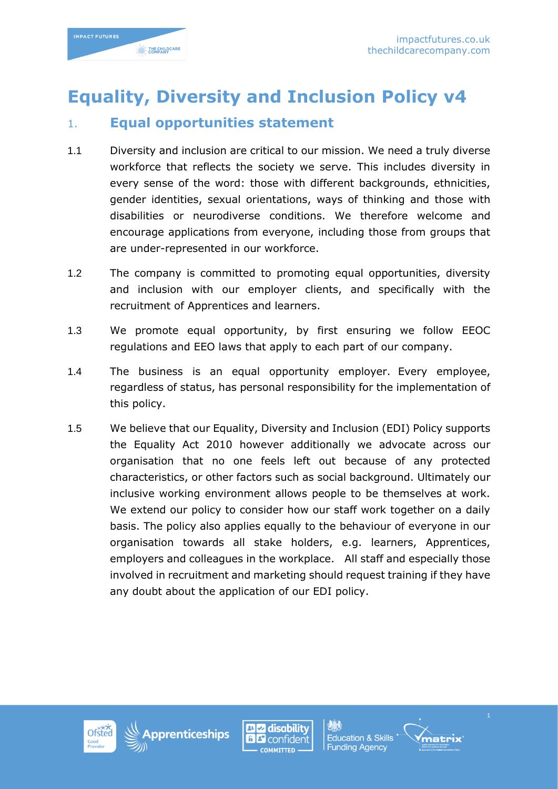

# **Equality, Diversity and Inclusion Policy v4**

# 1. **Equal opportunities statement**

- 1.1 Diversity and inclusion are critical to our mission. We need a truly diverse workforce that reflects the society we serve. This includes diversity in every sense of the word: those with different backgrounds, ethnicities, gender identities, sexual orientations, ways of thinking and those with disabilities or neurodiverse conditions. We therefore welcome and encourage applications from everyone, including those from groups that are under-represented in our workforce.
- 1.2 The company is committed to promoting equal opportunities, diversity and inclusion with our employer clients, and specifically with the recruitment of Apprentices and learners.
- 1.3 We promote equal opportunity, by first ensuring we follow EEOC regulations and EEO laws that apply to each part of our company.
- 1.4 The business is an equal opportunity employer. Every employee, regardless of status, has personal responsibility for the implementation of this policy.
- 1.5 We believe that our Equality, Diversity and Inclusion (EDI) Policy supports the Equality Act 2010 however additionally we advocate across our organisation that no one feels left out because of any protected characteristics, or other factors such as social background. Ultimately our inclusive working environment allows people to be themselves at work. We extend our policy to consider how our staff work together on a daily basis. The policy also applies equally to the behaviour of everyone in our organisation towards all stake holders, e.g. learners, Apprentices, employers and colleagues in the workplace. All staff and especially those involved in recruitment and marketing should request training if they have any doubt about the application of our EDI policy.







**Education & Skills Funding Agency** 

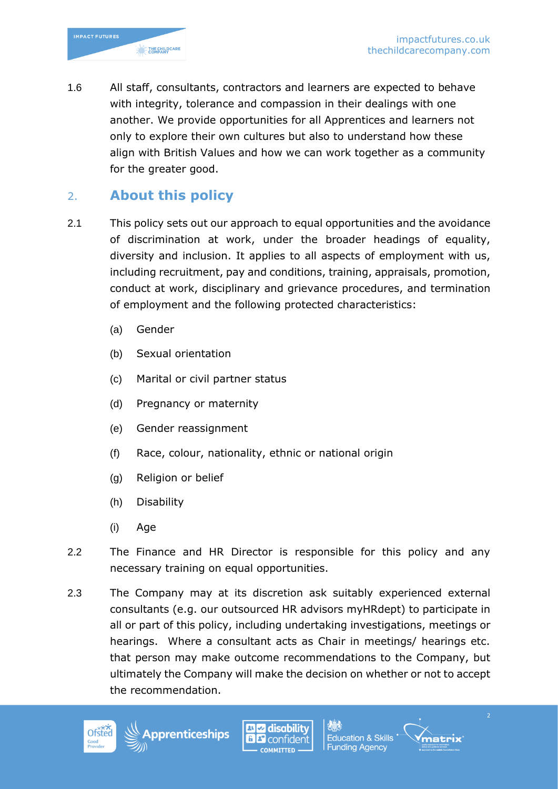1.6 All staff, consultants, contractors and learners are expected to behave with integrity, tolerance and compassion in their dealings with one another. We provide opportunities for all Apprentices and learners not only to explore their own cultures but also to understand how these align with British Values and how we can work together as a community for the greater good.

## 2. **About this policy**

- 2.1 This policy sets out our approach to equal opportunities and the avoidance of discrimination at work, under the broader headings of equality, diversity and inclusion. It applies to all aspects of employment with us, including recruitment, pay and conditions, training, appraisals, promotion, conduct at work, disciplinary and grievance procedures, and termination of employment and the following protected characteristics:
	- (a) Gender
	- (b) Sexual orientation
	- (c) Marital or civil partner status
	- (d) Pregnancy or maternity
	- (e) Gender reassignment
	- (f) Race, colour, nationality, ethnic or national origin
	- (g) Religion or belief
	- (h) Disability
	- (i) Age
- 2.2 The Finance and HR Director is responsible for this policy and any necessary training on equal opportunities.
- 2.3 The Company may at its discretion ask suitably experienced external consultants (e.g. our outsourced HR advisors myHRdept) to participate in all or part of this policy, including undertaking investigations, meetings or hearings. Where a consultant acts as Chair in meetings/ hearings etc. that person may make outcome recommendations to the Company, but ultimately the Company will make the decision on whether or not to accept the recommendation.







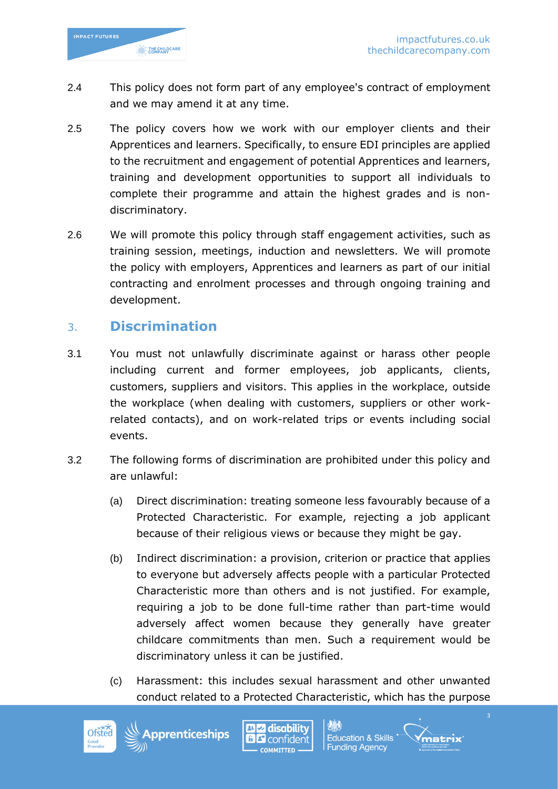

- 2.4 This policy does not form part of any employee's contract of employment and we may amend it at any time.
- 2.5 The policy covers how we work with our employer clients and their Apprentices and learners. Specifically, to ensure EDI principles are applied to the recruitment and engagement of potential Apprentices and learners, training and development opportunities to support all individuals to complete their programme and attain the highest grades and is nondiscriminatory.
- 2.6 We will promote this policy through staff engagement activities, such as training session, meetings, induction and newsletters. We will promote the policy with employers, Apprentices and learners as part of our initial contracting and enrolment processes and through ongoing training and development.

#### 3. **Discrimination**

- 3.1 You must not unlawfully discriminate against or harass other people including current and former employees, job applicants, clients, customers, suppliers and visitors. This applies in the workplace, outside the workplace (when dealing with customers, suppliers or other workrelated contacts), and on work-related trips or events including social events.
- 3.2 The following forms of discrimination are prohibited under this policy and are unlawful:
	- (a) Direct discrimination: treating someone less favourably because of a Protected Characteristic. For example, rejecting a job applicant because of their religious views or because they might be gay.
	- (b) Indirect discrimination: a provision, criterion or practice that applies to everyone but adversely affects people with a particular Protected Characteristic more than others and is not justified. For example, requiring a job to be done full-time rather than part-time would adversely affect women because they generally have greater childcare commitments than men. Such a requirement would be discriminatory unless it can be justified.
	- (c) Harassment: this includes sexual harassment and other unwanted conduct related to a Protected Characteristic, which has the purpose





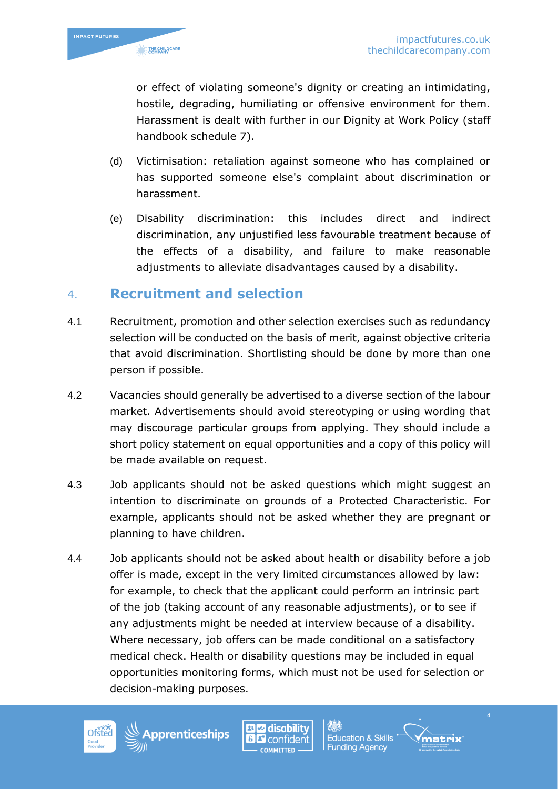

or effect of violating someone's dignity or creating an intimidating, hostile, degrading, humiliating or offensive environment for them. Harassment is dealt with further in our Dignity at Work Policy (staff handbook schedule 7).

- (d) Victimisation: retaliation against someone who has complained or has supported someone else's complaint about discrimination or harassment.
- (e) Disability discrimination: this includes direct and indirect discrimination, any unjustified less favourable treatment because of the effects of a disability, and failure to make reasonable adjustments to alleviate disadvantages caused by a disability.

## 4. **Recruitment and selection**

- 4.1 Recruitment, promotion and other selection exercises such as redundancy selection will be conducted on the basis of merit, against objective criteria that avoid discrimination. Shortlisting should be done by more than one person if possible.
- 4.2 Vacancies should generally be advertised to a diverse section of the labour market. Advertisements should avoid stereotyping or using wording that may discourage particular groups from applying. They should include a short policy statement on equal opportunities and a copy of this policy will be made available on request.
- 4.3 Job applicants should not be asked questions which might suggest an intention to discriminate on grounds of a Protected Characteristic. For example, applicants should not be asked whether they are pregnant or planning to have children.
- 4.4 Job applicants should not be asked about health or disability before a job offer is made, except in the very limited circumstances allowed by law: for example, to check that the applicant could perform an intrinsic part of the job (taking account of any reasonable adjustments), or to see if any adjustments might be needed at interview because of a disability. Where necessary, job offers can be made conditional on a satisfactory medical check. Health or disability questions may be included in equal opportunities monitoring forms, which must not be used for selection or decision-making purposes.





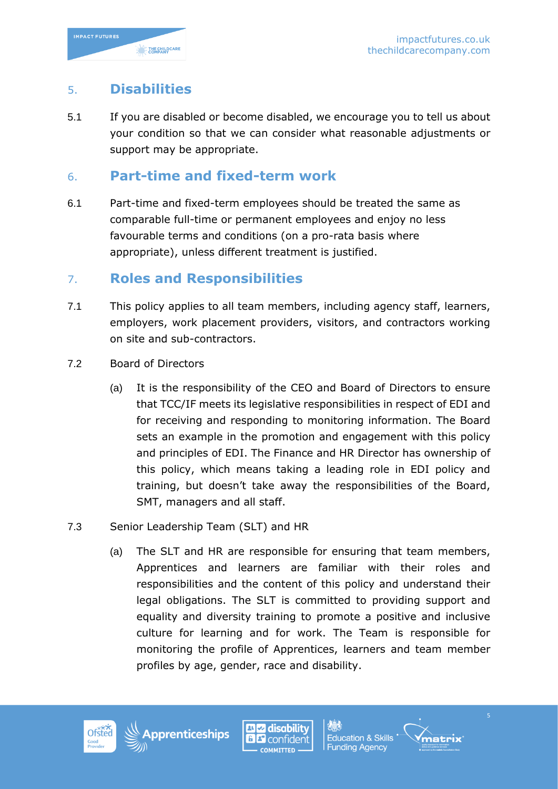

### 5. **Disabilities**

5.1 If you are disabled or become disabled, we encourage you to tell us about your condition so that we can consider what reasonable adjustments or support may be appropriate.

#### 6. **Part-time and fixed-term work**

6.1 Part-time and fixed-term employees should be treated the same as comparable full-time or permanent employees and enjoy no less favourable terms and conditions (on a pro-rata basis where appropriate), unless different treatment is justified.

#### 7. **Roles and Responsibilities**

- 7.1 This policy applies to all team members, including agency staff, learners, employers, work placement providers, visitors, and contractors working on site and sub-contractors.
- 7.2 Board of Directors
	- (a) It is the responsibility of the CEO and Board of Directors to ensure that TCC/IF meets its legislative responsibilities in respect of EDI and for receiving and responding to monitoring information. The Board sets an example in the promotion and engagement with this policy and principles of EDI. The Finance and HR Director has ownership of this policy, which means taking a leading role in EDI policy and training, but doesn't take away the responsibilities of the Board, SMT, managers and all staff.
- 7.3 Senior Leadership Team (SLT) and HR
	- (a) The SLT and HR are responsible for ensuring that team members, Apprentices and learners are familiar with their roles and responsibilities and the content of this policy and understand their legal obligations. The SLT is committed to providing support and equality and diversity training to promote a positive and inclusive culture for learning and for work. The Team is responsible for monitoring the profile of Apprentices, learners and team member profiles by age, gender, race and disability.





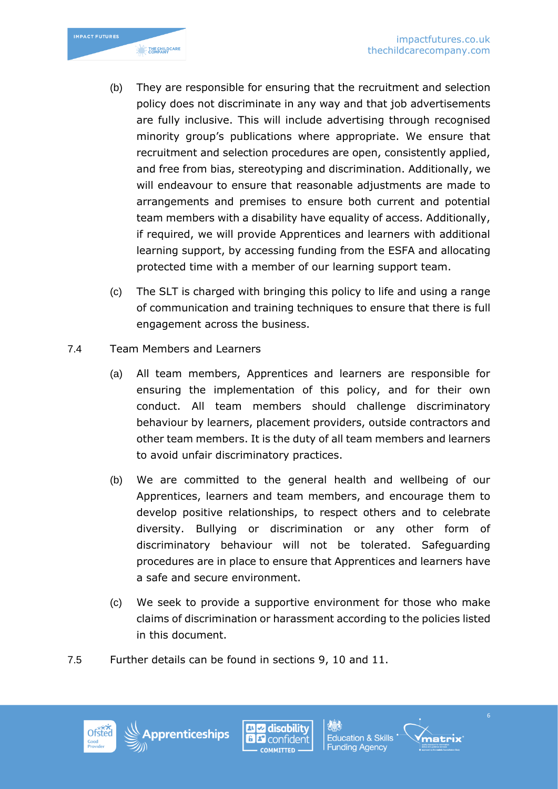

- (b) They are responsible for ensuring that the recruitment and selection policy does not discriminate in any way and that job advertisements are fully inclusive. This will include advertising through recognised minority group's publications where appropriate. We ensure that recruitment and selection procedures are open, consistently applied, and free from bias, stereotyping and discrimination. Additionally, we will endeavour to ensure that reasonable adjustments are made to arrangements and premises to ensure both current and potential team members with a disability have equality of access. Additionally, if required, we will provide Apprentices and learners with additional learning support, by accessing funding from the ESFA and allocating protected time with a member of our learning support team.
- (c) The SLT is charged with bringing this policy to life and using a range of communication and training techniques to ensure that there is full engagement across the business.
- 7.4 Team Members and Learners
	- (a) All team members, Apprentices and learners are responsible for ensuring the implementation of this policy, and for their own conduct. All team members should challenge discriminatory behaviour by learners, placement providers, outside contractors and other team members. It is the duty of all team members and learners to avoid unfair discriminatory practices.
	- (b) We are committed to the general health and wellbeing of our Apprentices, learners and team members, and encourage them to develop positive relationships, to respect others and to celebrate diversity. Bullying or discrimination or any other form of discriminatory behaviour will not be tolerated. Safeguarding procedures are in place to ensure that Apprentices and learners have a safe and secure environment.
	- (c) We seek to provide a supportive environment for those who make claims of discrimination or harassment according to the policies listed in this document.
- 7.5 Further details can be found in sections 9, 10 and 11.







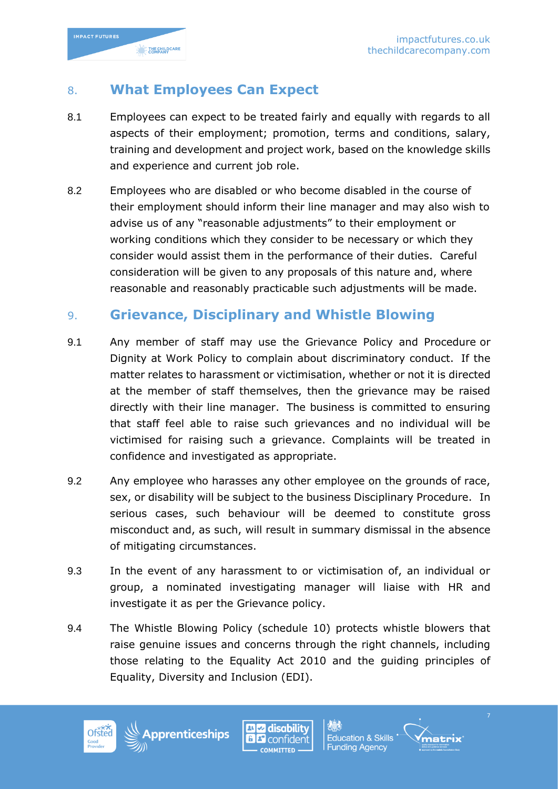

# 8. **What Employees Can Expect**

- 8.1 Employees can expect to be treated fairly and equally with regards to all aspects of their employment; promotion, terms and conditions, salary, training and development and project work, based on the knowledge skills and experience and current job role.
- 8.2 Employees who are disabled or who become disabled in the course of their employment should inform their line manager and may also wish to advise us of any "reasonable adjustments" to their employment or working conditions which they consider to be necessary or which they consider would assist them in the performance of their duties. Careful consideration will be given to any proposals of this nature and, where reasonable and reasonably practicable such adjustments will be made.

# 9. **Grievance, Disciplinary and Whistle Blowing**

- 9.1 Any member of staff may use the Grievance Policy and Procedure or Dignity at Work Policy to complain about discriminatory conduct. If the matter relates to harassment or victimisation, whether or not it is directed at the member of staff themselves, then the grievance may be raised directly with their line manager. The business is committed to ensuring that staff feel able to raise such grievances and no individual will be victimised for raising such a grievance. Complaints will be treated in confidence and investigated as appropriate.
- 9.2 Any employee who harasses any other employee on the grounds of race, sex, or disability will be subject to the business Disciplinary Procedure. In serious cases, such behaviour will be deemed to constitute gross misconduct and, as such, will result in summary dismissal in the absence of mitigating circumstances.
- 9.3 In the event of any harassment to or victimisation of, an individual or group, a nominated investigating manager will liaise with HR and investigate it as per the Grievance policy.
- 9.4 The Whistle Blowing Policy (schedule 10) protects whistle blowers that raise genuine issues and concerns through the right channels, including those relating to the Equality Act 2010 and the guiding principles of Equality, Diversity and Inclusion (EDI).





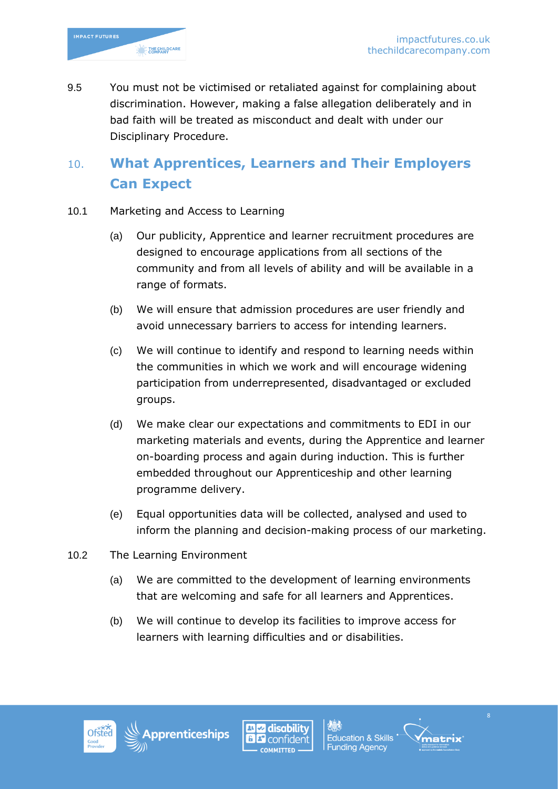

9.5 You must not be victimised or retaliated against for complaining about discrimination. However, making a false allegation deliberately and in bad faith will be treated as misconduct and dealt with under our Disciplinary Procedure.

# 10. **What Apprentices, Learners and Their Employers Can Expect**

- 10.1 Marketing and Access to Learning
	- (a) Our publicity, Apprentice and learner recruitment procedures are designed to encourage applications from all sections of the community and from all levels of ability and will be available in a range of formats.
	- (b) We will ensure that admission procedures are user friendly and avoid unnecessary barriers to access for intending learners.
	- (c) We will continue to identify and respond to learning needs within the communities in which we work and will encourage widening participation from underrepresented, disadvantaged or excluded groups.
	- (d) We make clear our expectations and commitments to EDI in our marketing materials and events, during the Apprentice and learner on-boarding process and again during induction. This is further embedded throughout our Apprenticeship and other learning programme delivery.
	- (e) Equal opportunities data will be collected, analysed and used to inform the planning and decision-making process of our marketing.
- 10.2 The Learning Environment
	- (a) We are committed to the development of learning environments that are welcoming and safe for all learners and Apprentices.
	- (b) We will continue to develop its facilities to improve access for learners with learning difficulties and or disabilities.







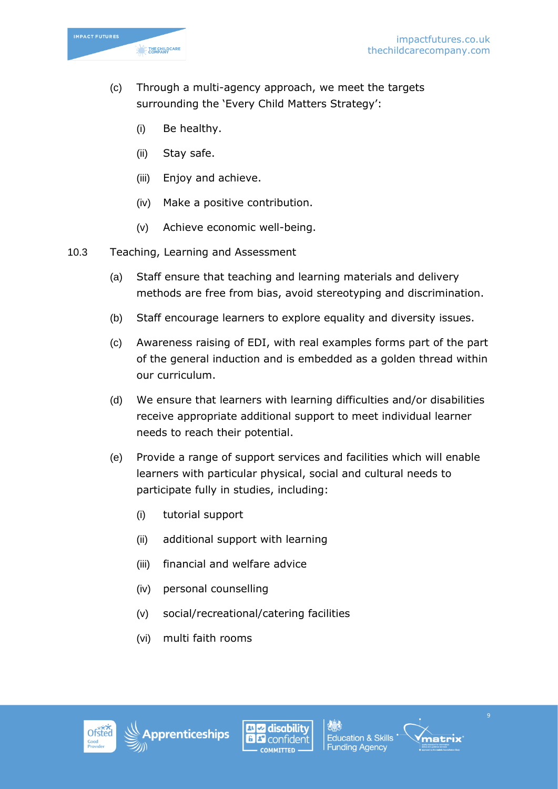

- (c) Through a multi-agency approach, we meet the targets surrounding the 'Every Child Matters Strategy':
	- (i) Be healthy.
	- (ii) Stay safe.
	- (iii) Enjoy and achieve.
	- (iv) Make a positive contribution.
	- (v) Achieve economic well-being.
- 10.3 Teaching, Learning and Assessment
	- (a) Staff ensure that teaching and learning materials and delivery methods are free from bias, avoid stereotyping and discrimination.
	- (b) Staff encourage learners to explore equality and diversity issues.
	- (c) Awareness raising of EDI, with real examples forms part of the part of the general induction and is embedded as a golden thread within our curriculum.
	- (d) We ensure that learners with learning difficulties and/or disabilities receive appropriate additional support to meet individual learner needs to reach their potential.
	- (e) Provide a range of support services and facilities which will enable learners with particular physical, social and cultural needs to participate fully in studies, including:
		- (i) tutorial support
		- (ii) additional support with learning
		- (iii) financial and welfare advice
		- (iv) personal counselling
		- (v) social/recreational/catering facilities
		- (vi) multi faith rooms





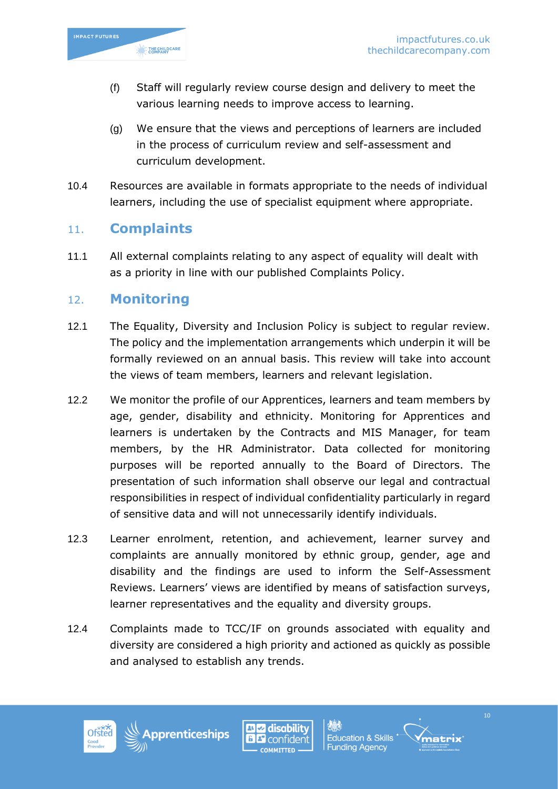

- (f) Staff will regularly review course design and delivery to meet the various learning needs to improve access to learning.
- (g) We ensure that the views and perceptions of learners are included in the process of curriculum review and self-assessment and curriculum development.
- 10.4 Resources are available in formats appropriate to the needs of individual learners, including the use of specialist equipment where appropriate.

## 11. **Complaints**

11.1 All external complaints relating to any aspect of equality will dealt with as a priority in line with our published Complaints Policy.

#### 12. **Monitoring**

- 12.1 The Equality, Diversity and Inclusion Policy is subject to regular review. The policy and the implementation arrangements which underpin it will be formally reviewed on an annual basis. This review will take into account the views of team members, learners and relevant legislation.
- 12.2 We monitor the profile of our Apprentices, learners and team members by age, gender, disability and ethnicity. Monitoring for Apprentices and learners is undertaken by the Contracts and MIS Manager, for team members, by the HR Administrator. Data collected for monitoring purposes will be reported annually to the Board of Directors. The presentation of such information shall observe our legal and contractual responsibilities in respect of individual confidentiality particularly in regard of sensitive data and will not unnecessarily identify individuals.
- 12.3 Learner enrolment, retention, and achievement, learner survey and complaints are annually monitored by ethnic group, gender, age and disability and the findings are used to inform the Self-Assessment Reviews. Learners' views are identified by means of satisfaction surveys, learner representatives and the equality and diversity groups.
- 12.4 Complaints made to TCC/IF on grounds associated with equality and diversity are considered a high priority and actioned as quickly as possible and analysed to establish any trends.





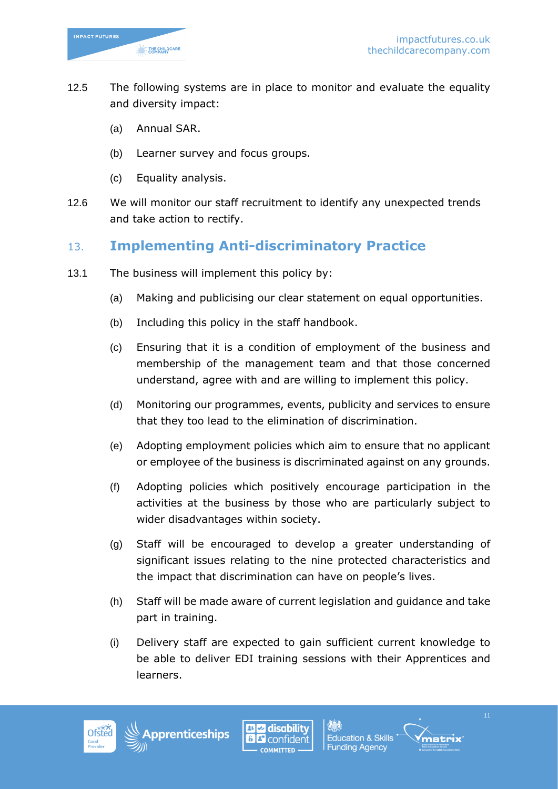

- 12.5 The following systems are in place to monitor and evaluate the equality and diversity impact:
	- (a) Annual SAR.
	- (b) Learner survey and focus groups.
	- (c) Equality analysis.
- 12.6 We will monitor our staff recruitment to identify any unexpected trends and take action to rectify.

# 13. **Implementing Anti-discriminatory Practice**

- 13.1 The business will implement this policy by:
	- (a) Making and publicising our clear statement on equal opportunities.
	- (b) Including this policy in the staff handbook.
	- (c) Ensuring that it is a condition of employment of the business and membership of the management team and that those concerned understand, agree with and are willing to implement this policy.
	- (d) Monitoring our programmes, events, publicity and services to ensure that they too lead to the elimination of discrimination.
	- (e) Adopting employment policies which aim to ensure that no applicant or employee of the business is discriminated against on any grounds.
	- (f) Adopting policies which positively encourage participation in the activities at the business by those who are particularly subject to wider disadvantages within society.
	- (g) Staff will be encouraged to develop a greater understanding of significant issues relating to the nine protected characteristics and the impact that discrimination can have on people's lives.
	- (h) Staff will be made aware of current legislation and guidance and take part in training.
	- (i) Delivery staff are expected to gain sufficient current knowledge to be able to deliver EDI training sessions with their Apprentices and learners.





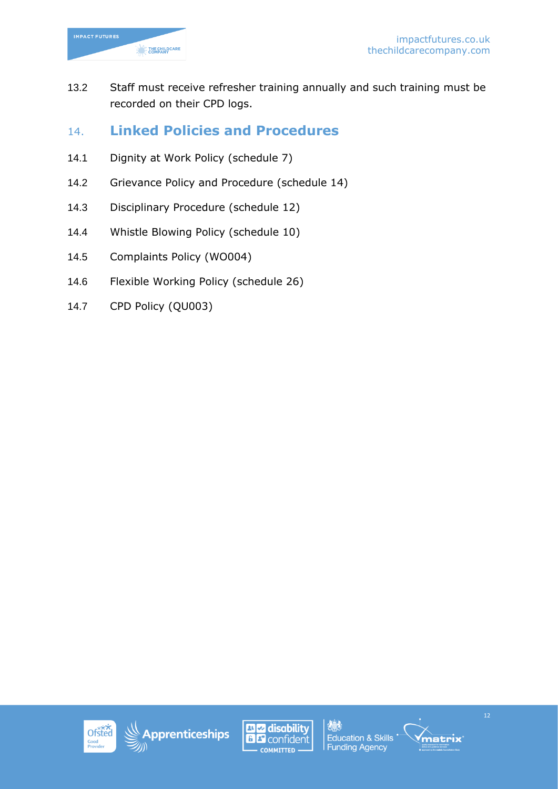

13.2 Staff must receive refresher training annually and such training must be recorded on their CPD logs.

## 14. **Linked Policies and Procedures**

- 14.1 Dignity at Work Policy (schedule 7)
- 14.2 Grievance Policy and Procedure (schedule 14)
- 14.3 Disciplinary Procedure (schedule 12)
- 14.4 Whistle Blowing Policy (schedule 10)
- 14.5 Complaints Policy (WO004)
- 14.6 Flexible Working Policy (schedule 26)
- 14.7 CPD Policy (QU003)







爆 **Education & Skills Funding Agency**